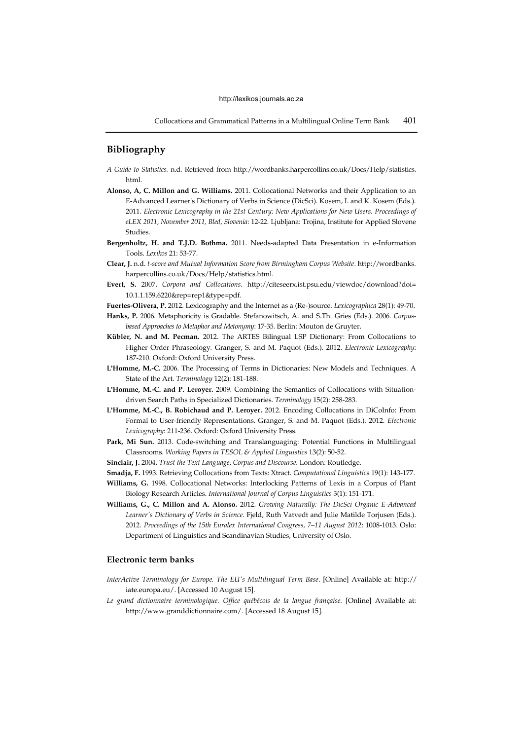Collocations and Grammatical Patterns in a Multilingual Online Term Bank 401

## **Bibliography**

- *A Guide to Statistics.* n.d. Retrieved from http://wordbanks.harpercollins.co.uk/Docs/Help/statistics. html.
- **Alonso, A, C. Millon and G. Williams.** 2011. Collocational Networks and their Application to an E-Advanced Learner's Dictionary of Verbs in Science (DicSci). Kosem, I. and K. Kosem (Eds.). 2011. *Electronic Lexicography in the 21st Century: New Applications for New Users. Proceedings of eLEX 2011, November 2011, Bled, Slovenia*: 12-22. Ljubljana: Trojina, Institute for Applied Slovene **Studies**.
- **Bergenholtz, H. and T.J.D. Bothma.** 2011. Needs-adapted Data Presentation in e-Information Tools. *Lexikos* 21: 53-77.
- **Clear, J.** n.d. *t-score and Mutual Information Score from Birmingham Corpus Website*. http://wordbanks. harpercollins.co.uk/Docs/Help/statistics.html.
- **Evert, S.** 2007. *Corpora and Collocations*. http://citeseerx.ist.psu.edu/viewdoc/download?doi= 10.1.1.159.6220&rep=rep1&type=pdf.
- **Fuertes-Olivera, P.** 2012. Lexicography and the Internet as a (Re-)source. *Lexicographica* 28(1): 49-70.
- **Hanks, P.** 2006. Metaphoricity is Gradable. Stefanowitsch, A. and S.Th. Gries (Eds.). 2006. *Corpusbased Approaches to Metaphor and Metonymy*: 17-35*.* Berlin: Mouton de Gruyter.
- **Kübler, N. and M. Pecman.** 2012. The ARTES Bilingual LSP Dictionary: From Collocations to Higher Order Phraseology*.* Granger, S. and M. Paquot (Eds.). 2012. *Electronic Lexicography*: 187-210. Oxford: Oxford University Press.
- **L'Homme, M.-C.** 2006. The Processing of Terms in Dictionaries: New Models and Techniques. A State of the Art. *Terminology* 12(2): 181-188.
- **L'Homme, M.-C. and P. Leroyer.** 2009. Combining the Semantics of Collocations with Situationdriven Search Paths in Specialized Dictionaries. *Terminology* 15(2): 258-283.
- **L'Homme, M.-C., B. Robichaud and P. Leroyer.** 2012. Encoding Collocations in DiCoInfo: From Formal to User-friendly Representations. Granger, S. and M. Paquot (Eds.). 2012. *Electronic Lexicography*: 211-236. Oxford: Oxford University Press.
- **Park, Mi Sun.** 2013. Code-switching and Translanguaging: Potential Functions in Multilingual Classrooms. *Working Papers in TESOL & Applied Linguistics* 13(2): 50-52.
- **Sinclair, J.** 2004. *Trust the Text Language, Corpus and Discourse.* London: Routledge.
- **Smadja, F.** 1993. Retrieving Collocations from Texts: Xtract. *Computational Linguistics* 19(1): 143-177.
- **Williams, G.** 1998. Collocational Networks: Interlocking Patterns of Lexis in a Corpus of Plant Biology Research Articles. *International Journal of Corpus Linguistics* 3(1): 151-171.
- **Williams, G., C. Millon and A. Alonso.** 2012. *Growing Naturally: The DicSci Organic E-Advanced Learner's Dictionary of Verbs in Science*. Fjeld, Ruth Vatvedt and Julie Matilde Torjusen (Eds.). 2012. *Proceedings of the 15th Euralex International Congress, 7–11 August 2012*: 1008-1013. Oslo: Department of Linguistics and Scandinavian Studies, University of Oslo.

## **Electronic term banks**

- *InterActive Terminology for Europe. The EU's Multilingual Term Base*. [Online] Available at: http:// iate.europa.eu/. [Accessed 10 August 15].
- *Le grand dictionnaire terminologique. Office québécois de la langue fran*ç*aise.* [Online] Available at: http://www.granddictionnaire.com/. [Accessed 18 August 15].